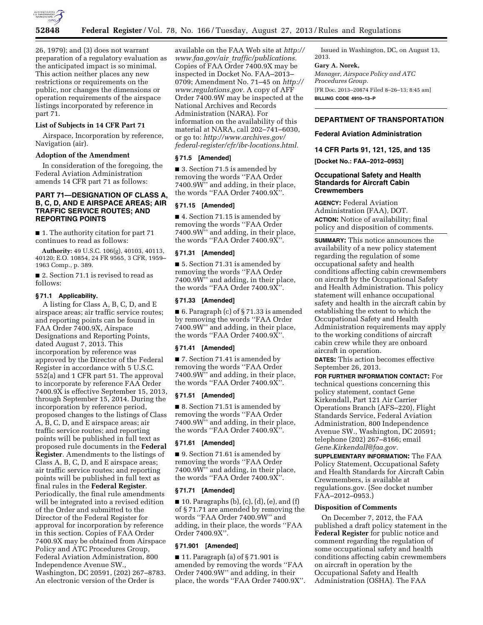

26, 1979); and (3) does not warrant preparation of a regulatory evaluation as the anticipated impact is so minimal. This action neither places any new restrictions or requirements on the public, nor changes the dimensions or operation requirements of the airspace listings incorporated by reference in part 71.

### **List of Subjects in 14 CFR Part 71**

Airspace, Incorporation by reference, Navigation (air).

#### **Adoption of the Amendment**

In consideration of the foregoing, the Federal Aviation Administration amends 14 CFR part 71 as follows:

# **PART 71—DESIGNATION OF CLASS A, B, C, D, AND E AIRSPACE AREAS; AIR TRAFFIC SERVICE ROUTES; AND REPORTING POINTS**

■ 1. The authority citation for part 71 continues to read as follows:

**Authority:** 49 U.S.C. 106(g), 40103, 40113, 40120; E.O. 10854, 24 FR 9565, 3 CFR, 1959– 1963 Comp., p. 389.

■ 2. Section 71.1 is revised to read as follows:

# **§ 71.1 Applicability.**

A listing for Class A, B, C, D, and E airspace areas; air traffic service routes; and reporting points can be found in FAA Order 7400.9X, Airspace Designations and Reporting Points, dated August 7, 2013. This incorporation by reference was approved by the Director of the Federal Register in accordance with 5 U.S.C. 552(a) and 1 CFR part 51. The approval to incorporate by reference FAA Order 7400.9X is effective September 15, 2013, through September 15, 2014. During the incorporation by reference period, proposed changes to the listings of Class A, B, C, D, and E airspace areas; air traffic service routes; and reporting points will be published in full text as proposed rule documents in the **Federal Register**. Amendments to the listings of Class A, B, C, D, and E airspace areas; air traffic service routes; and reporting points will be published in full text as final rules in the **Federal Register**. Periodically, the final rule amendments will be integrated into a revised edition of the Order and submitted to the Director of the Federal Register for approval for incorporation by reference in this section. Copies of FAA Order 7400.9X may be obtained from Airspace Policy and ATC Procedures Group, Federal Aviation Administration, 800 Independence Avenue SW., Washington, DC 20591, (202) 267–8783. An electronic version of the Order is

available on the FAA Web site at *[http://](http://www.faa.gov/air_traffic/publications) www.faa.gov/air*\_*[traffic/publications.](http://www.faa.gov/air_traffic/publications)*  Copies of FAA Order 7400.9X may be inspected in Docket No. FAA–2013– 0709; Amendment No. 71–45 on *[http://](http://www.regulations.gov)  [www.regulations.gov.](http://www.regulations.gov)* A copy of AFF Order 7400.9W may be inspected at the National Archives and Records Administration (NARA). For information on the availability of this material at NARA, call 202–741–6030, or go to: *[http://www.archives.gov/](http://www.archives.gov/federal-register/cfr/ibr-locations.html) [federal-register/cfr/ibr-locations.html.](http://www.archives.gov/federal-register/cfr/ibr-locations.html)* 

#### **§ 71.5 [Amended]**

■ 3. Section 71.5 is amended by removing the words ''FAA Order 7400.9W'' and adding, in their place, the words ''FAA Order 7400.9X''.

#### **§ 71.15 [Amended]**

■ 4. Section 71.15 is amended by removing the words ''FAA Order 7400.9W'' and adding, in their place, the words ''FAA Order 7400.9X''.

#### **§ 71.31 [Amended]**

■ 5. Section 71.31 is amended by removing the words ''FAA Order 7400.9W'' and adding, in their place, the words ''FAA Order 7400.9X''.

#### **§ 71.33 [Amended]**

■ 6. Paragraph (c) of § 71.33 is amended by removing the words ''FAA Order 7400.9W'' and adding, in their place, the words ''FAA Order 7400.9X''.

#### **§ 71.41 [Amended]**

■ 7. Section 71.41 is amended by removing the words ''FAA Order 7400.9W'' and adding, in their place, the words ''FAA Order 7400.9X''.

# **§ 71.51 [Amended]**

■ 8. Section 71.51 is amended by removing the words ''FAA Order 7400.9W'' and adding, in their place, the words ''FAA Order 7400.9X''.

#### **§ 71.61 [Amended]**

■ 9. Section 71.61 is amended by removing the words ''FAA Order 7400.9W'' and adding, in their place, the words ''FAA Order 7400.9X''.

#### **§ 71.71 [Amended]**

 $\blacksquare$  10. Paragraphs (b), (c), (d), (e), and (f) of § 71.71 are amended by removing the words ''FAA Order 7400.9W'' and adding, in their place, the words ''FAA Order 7400.9X''.

# **§ 71.901 [Amended]**

■ 11. Paragraph (a) of § 71.901 is amended by removing the words ''FAA Order 7400.9W'' and adding, in their place, the words ''FAA Order 7400.9X''.

Issued in Washington, DC, on August 13, 2013.

#### **Gary A. Norek,**

*Manager, Airspace Policy and ATC Procedures Group.*  [FR Doc. 2013–20874 Filed 8–26–13; 8:45 am] **BILLING CODE 4910–13–P** 

#### **DEPARTMENT OF TRANSPORTATION**

### **Federal Aviation Administration**

**14 CFR Parts 91, 121, 125, and 135** 

**[Docket No.: FAA–2012–0953]** 

### **Occupational Safety and Health Standards for Aircraft Cabin Crewmembers**

**AGENCY:** Federal Aviation Administration (FAA), DOT. **ACTION:** Notice of availability; final policy and disposition of comments.

**SUMMARY:** This notice announces the availability of a new policy statement regarding the regulation of some occupational safety and health conditions affecting cabin crewmembers on aircraft by the Occupational Safety and Health Administration. This policy statement will enhance occupational safety and health in the aircraft cabin by establishing the extent to which the Occupational Safety and Health Administration requirements may apply to the working conditions of aircraft cabin crew while they are onboard aircraft in operation.

**DATES:** This action becomes effective September 26, 2013.

**FOR FURTHER INFORMATION CONTACT:** For technical questions concerning this policy statement, contact Gene Kirkendall, Part 121 Air Carrier Operations Branch (AFS–220), Flight Standards Service, Federal Aviation Administration, 800 Independence Avenue SW., Washington, DC 20591; telephone (202) 267–8166; email *[Gene.Kirkendall@faa.gov.](mailto:Gene.Kirkendall@faa.gov)* 

**SUPPLEMENTARY INFORMATION:** The FAA Policy Statement, Occupational Safety and Health Standards for Aircraft Cabin Crewmembers, is available at regulations.gov. (See docket number FAA–2012–0953.)

### **Disposition of Comments**

On December 7, 2012, the FAA published a draft policy statement in the **Federal Register** for public notice and comment regarding the regulation of some occupational safety and health conditions affecting cabin crewmembers on aircraft in operation by the Occupational Safety and Health Administration (OSHA). The FAA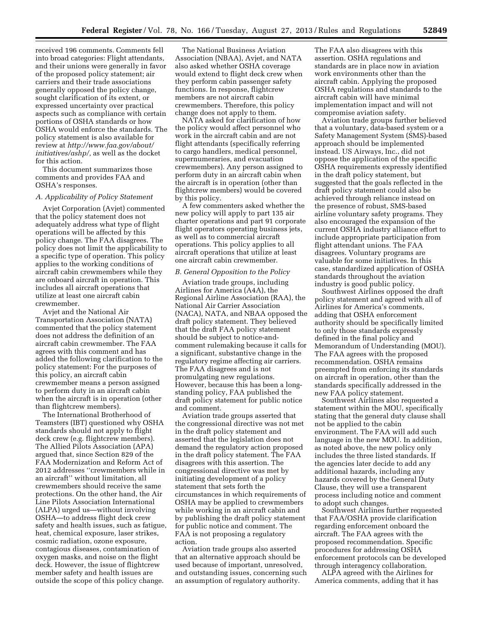received 196 comments. Comments fell into broad categories: Flight attendants, and their unions were generally in favor of the proposed policy statement; air carriers and their trade associations generally opposed the policy change, sought clarification of its extent, or expressed uncertainty over practical aspects such as compliance with certain portions of OSHA standards or how OSHA would enforce the standards. The policy statement is also available for review at *[http://www.faa.gov/about/](http://www.faa.gov/about/initiatives/ashp/) [initiatives/ashp/,](http://www.faa.gov/about/initiatives/ashp/)* as well as the docket for this action.

This document summarizes those comments and provides FAA and OSHA's responses.

#### *A. Applicability of Policy Statement*

Avjet Corporation (Avjet) commented that the policy statement does not adequately address what type of flight operations will be affected by this policy change. The FAA disagrees. The policy does not limit the applicability to a specific type of operation. This policy applies to the working conditions of aircraft cabin crewmembers while they are onboard aircraft in operation. This includes all aircraft operations that utilize at least one aircraft cabin crewmember.

Avjet and the National Air Transportation Association (NATA) commented that the policy statement does not address the definition of an aircraft cabin crewmember. The FAA agrees with this comment and has added the following clarification to the policy statement: For the purposes of this policy, an aircraft cabin crewmember means a person assigned to perform duty in an aircraft cabin when the aircraft is in operation (other than flightcrew members).

The International Brotherhood of Teamsters (IBT) questioned why OSHA standards should not apply to flight deck crew (e.g. flightcrew members). The Allied Pilots Association (APA) argued that, since Section 829 of the FAA Modernization and Reform Act of 2012 addresses ''crewmembers while in an aircraft'' without limitation, all crewmembers should receive the same protections. On the other hand, the Air Line Pilots Association International (ALPA) urged us—without involving OSHA—to address flight deck crew safety and health issues, such as fatigue, heat, chemical exposure, laser strikes, cosmic radiation, ozone exposure, contagious diseases, contamination of oxygen masks, and noise on the flight deck. However, the issue of flightcrew member safety and health issues are outside the scope of this policy change.

The National Business Aviation Association (NBAA), Avjet, and NATA also asked whether OSHA coverage would extend to flight deck crew when they perform cabin passenger safety functions. In response, flightcrew members are not aircraft cabin crewmembers. Therefore, this policy change does not apply to them.

NATA asked for clarification of how the policy would affect personnel who work in the aircraft cabin and are not flight attendants (specifically referring to cargo handlers, medical personnel, supernumeraries, and evacuation crewmembers). Any person assigned to perform duty in an aircraft cabin when the aircraft is in operation (other than flightcrew members) would be covered by this policy.

A few commenters asked whether the new policy will apply to part 135 air charter operations and part 91 corporate flight operators operating business jets, as well as to commercial aircraft operations. This policy applies to all aircraft operations that utilize at least one aircraft cabin crewmember.

#### *B. General Opposition to the Policy*

Aviation trade groups, including Airlines for America (A4A), the Regional Airline Association (RAA), the National Air Carrier Association (NACA), NATA, and NBAA opposed the draft policy statement. They believed that the draft FAA policy statement should be subject to notice-andcomment rulemaking because it calls for a significant, substantive change in the regulatory regime affecting air carriers. The FAA disagrees and is not promulgating new regulations. However, because this has been a longstanding policy, FAA published the draft policy statement for public notice and comment.

Aviation trade groups asserted that the congressional directive was not met in the draft policy statement and asserted that the legislation does not demand the regulatory action proposed in the draft policy statement. The FAA disagrees with this assertion. The congressional directive was met by initiating development of a policy statement that sets forth the circumstances in which requirements of OSHA may be applied to crewmembers while working in an aircraft cabin and by publishing the draft policy statement for public notice and comment. The FAA is not proposing a regulatory action.

Aviation trade groups also asserted that an alternative approach should be used because of important, unresolved, and outstanding issues, concerning such an assumption of regulatory authority.

The FAA also disagrees with this assertion. OSHA regulations and standards are in place now in aviation work environments other than the aircraft cabin. Applying the proposed OSHA regulations and standards to the aircraft cabin will have minimal implementation impact and will not compromise aviation safety.

Aviation trade groups further believed that a voluntary, data-based system or a Safety Management System (SMS)-based approach should be implemented instead. US Airways, Inc., did not oppose the application of the specific OSHA requirements expressly identified in the draft policy statement, but suggested that the goals reflected in the draft policy statement could also be achieved through reliance instead on the presence of robust, SMS-based airline voluntary safety programs. They also encouraged the expansion of the current OSHA industry alliance effort to include appropriate participation from flight attendant unions. The FAA disagrees. Voluntary programs are valuable for some initiatives. In this case, standardized application of OSHA standards throughout the aviation industry is good public policy.

Southwest Airlines opposed the draft policy statement and agreed with all of Airlines for America's comments, adding that OSHA enforcement authority should be specifically limited to only those standards expressly defined in the final policy and Memorandum of Understanding (MOU). The FAA agrees with the proposed recommendation. OSHA remains preempted from enforcing its standards on aircraft in operation, other than the standards specifically addressed in the new FAA policy statement.

Southwest Airlines also requested a statement within the MOU, specifically stating that the general duty clause shall not be applied to the cabin environment. The FAA will add such language in the new MOU. In addition, as noted above, the new policy only includes the three listed standards. If the agencies later decide to add any additional hazards, including any hazards covered by the General Duty Clause, they will use a transparent process including notice and comment to adopt such changes.

Southwest Airlines further requested that FAA/OSHA provide clarification regarding enforcement onboard the aircraft. The FAA agrees with the proposed recommendation. Specific procedures for addressing OSHA enforcement protocols can be developed through interagency collaboration.

ALPA agreed with the Airlines for America comments, adding that it has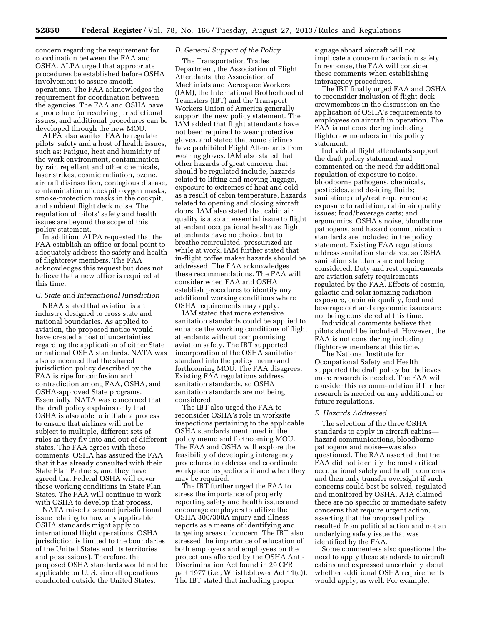concern regarding the requirement for coordination between the FAA and OSHA. ALPA urged that appropriate procedures be established before OSHA involvement to assure smooth operations. The FAA acknowledges the requirement for coordination between the agencies. The FAA and OSHA have a procedure for resolving jurisdictional issues, and additional procedures can be developed through the new MOU.

ALPA also wanted FAA to regulate pilots' safety and a host of health issues, such as: Fatigue, heat and humidity of the work environment, contamination by rain repellant and other chemicals, laser strikes, cosmic radiation, ozone, aircraft disinsection, contagious disease, contamination of cockpit oxygen masks, smoke-protection masks in the cockpit, and ambient flight deck noise. The regulation of pilots' safety and health issues are beyond the scope of this policy statement.

In addition, ALPA requested that the FAA establish an office or focal point to adequately address the safety and health of flightcrew members. The FAA acknowledges this request but does not believe that a new office is required at this time.

### *C. State and International Jurisdiction*

NBAA stated that aviation is an industry designed to cross state and national boundaries. As applied to aviation, the proposed notice would have created a host of uncertainties regarding the application of either State or national OSHA standards. NATA was also concerned that the shared jurisdiction policy described by the FAA is ripe for confusion and contradiction among FAA, OSHA, and OSHA-approved State programs. Essentially, NATA was concerned that the draft policy explains only that OSHA is also able to initiate a process to ensure that airlines will not be subject to multiple, different sets of rules as they fly into and out of different states. The FAA agrees with these comments. OSHA has assured the FAA that it has already consulted with their State Plan Partners, and they have agreed that Federal OSHA will cover these working conditions in State Plan States. The FAA will continue to work with OSHA to develop that process.

NATA raised a second jurisdictional issue relating to how any applicable OSHA standards might apply to international flight operations. OSHA jurisdiction is limited to the boundaries of the United States and its territories and possessions). Therefore, the proposed OSHA standards would not be applicable on U. S. aircraft operations conducted outside the United States.

# *D. General Support of the Policy*

The Transportation Trades Department, the Association of Flight Attendants, the Association of Machinists and Aerospace Workers (IAM), the International Brotherhood of Teamsters (IBT) and the Transport Workers Union of America generally support the new policy statement. The IAM added that flight attendants have not been required to wear protective gloves, and stated that some airlines have prohibited Flight Attendants from wearing gloves. IAM also stated that other hazards of great concern that should be regulated include, hazards related to lifting and moving luggage, exposure to extremes of heat and cold as a result of cabin temperature, hazards related to opening and closing aircraft doors. IAM also stated that cabin air quality is also an essential issue to flight attendant occupational health as flight attendants have no choice, but to breathe recirculated, pressurized air while at work. IAM further stated that in-flight coffee maker hazards should be addressed. The FAA acknowledges these recommendations. The FAA will consider when FAA and OSHA establish procedures to identify any additional working conditions where OSHA requirements may apply.

IAM stated that more extensive sanitation standards could be applied to enhance the working conditions of flight attendants without compromising aviation safety. The IBT supported incorporation of the OSHA sanitation standard into the policy memo and forthcoming MOU. The FAA disagrees. Existing FAA regulations address sanitation standards, so OSHA sanitation standards are not being considered.

The IBT also urged the FAA to reconsider OSHA's role in worksite inspections pertaining to the applicable OSHA standards mentioned in the policy memo and forthcoming MOU. The FAA and OSHA will explore the feasibility of developing interagency procedures to address and coordinate workplace inspections if and when they may be required.

The IBT further urged the FAA to stress the importance of properly reporting safety and health issues and encourage employers to utilize the OSHA 300/300A injury and illness reports as a means of identifying and targeting areas of concern. The IBT also stressed the importance of education of both employers and employees on the protections afforded by the OSHA Anti-Discrimination Act found in 29 CFR part 1977 (i.e., Whistleblower Act 11(c)). The IBT stated that including proper

signage aboard aircraft will not implicate a concern for aviation safety. In response, the FAA will consider these comments when establishing interagency procedures.

The IBT finally urged FAA and OSHA to reconsider inclusion of flight deck crewmembers in the discussion on the application of OSHA's requirements to employees on aircraft in operation. The FAA is not considering including flightcrew members in this policy statement.

Individual flight attendants support the draft policy statement and commented on the need for additional regulation of exposure to noise, bloodborne pathogens, chemicals, pesticides, and de-icing fluids; sanitation; duty/rest requirements; exposure to radiation; cabin air quality issues; food/beverage carts; and ergonomics. OSHA's noise, bloodborne pathogens, and hazard communication standards are included in the policy statement. Existing FAA regulations address sanitation standards, so OSHA sanitation standards are not being considered. Duty and rest requirements are aviation safety requirements regulated by the FAA. Effects of cosmic, galactic and solar ionizing radiation exposure, cabin air quality, food and beverage cart and ergonomic issues are not being considered at this time.

Individual comments believe that pilots should be included. However, the FAA is not considering including flightcrew members at this time.

The National Institute for Occupational Safety and Health supported the draft policy but believes more research is needed. The FAA will consider this recommendation if further research is needed on any additional or future regulations.

# *E. Hazards Addressed*

The selection of the three OSHA standards to apply in aircraft cabins hazard communications, bloodborne pathogens and noise—was also questioned. The RAA asserted that the FAA did not identify the most critical occupational safety and health concerns and then only transfer oversight if such concerns could best be solved, regulated and monitored by OSHA. A4A claimed there are no specific or immediate safety concerns that require urgent action, asserting that the proposed policy resulted from political action and not an underlying safety issue that was identified by the FAA.

Some commenters also questioned the need to apply these standards to aircraft cabins and expressed uncertainty about whether additional OSHA requirements would apply, as well. For example,